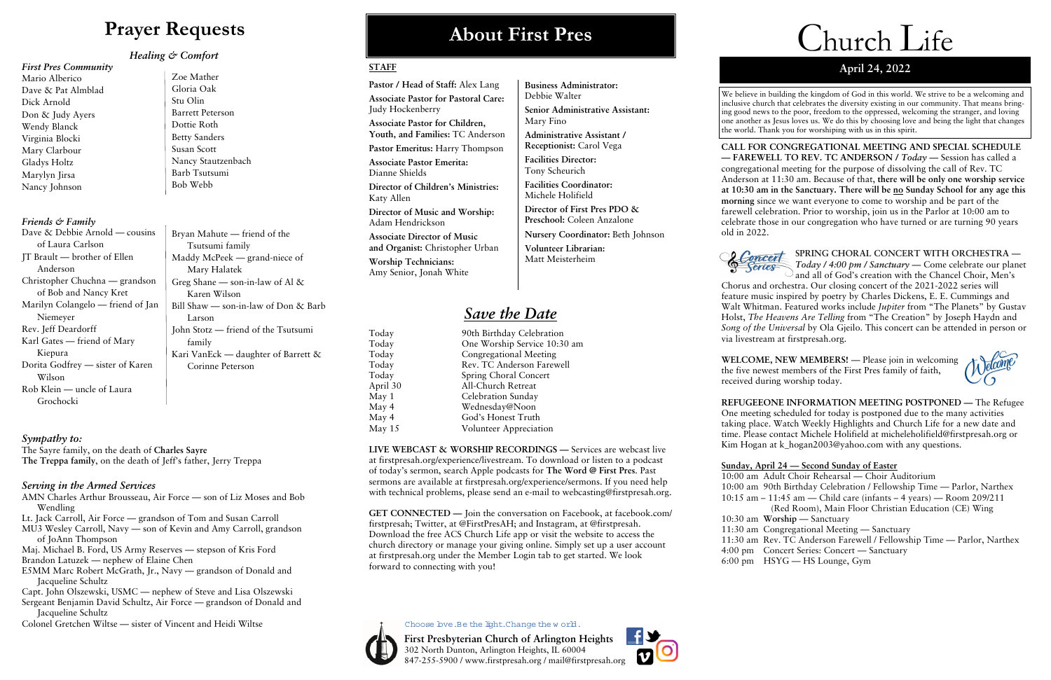#### **STAFF**

**Pastor / Head of Staff:** Alex Lang **Associate Pastor for Pastoral Care:**  Judy Hockenberry

**Associate Pastor for Children, Youth, and Families:** TC Anderson

**Pastor Emeritus:** Harry Thompson

**Associate Pastor Emerita:** Dianne Shields

**Director of Children's Ministries:**  Katy Allen

**Director of Music and Worship:**  Adam Hendrickson

**Associate Director of Music and Organist:** Christopher Urban

**Worship Technicians:**  Amy Senior, Jonah White

**LIVE WEBCAST & WORSHIP RECORDINGS —** Services are webcast live at firstpresah.org/experience/livestream. To download or listen to a podcast of today's sermon, search Apple podcasts for **The Word @ First Pres**. Past sermons are available at firstpresah.org/experience/sermons. If you need help with technical problems, please send an e-mail to webcasting@firstpresah.org.

- *Save the Date*
- Today 90th Birthday Celebration Today One Worship Service 10:30 am Today Congregational Meeting Today Rev. TC Anderson Farewell Today Spring Choral Concert April 30 All-Church Retreat May 1 Celebration Sunday May 4 Wednesday@Noon May 4 God's Honest Truth May 15 Volunteer Appreciation

**GET CONNECTED —** Join the conversation on Facebook, at facebook.com/ firstpresah; Twitter, at @FirstPresAH; and Instagram, at @firstpresah. Download the free ACS Church Life app or visit the website to access the church directory or manage your giving online. Simply set up a user account at firstpresah.org under the Member Login tab to get started. We look forward to connecting with you!



Choose bye.Be the light.Change the w orld.

## **About First Pres**

**Business Administrator:** 

Debbie Walter

**Senior Administrative Assistant:** 

Mary Fino

**Administrative Assistant / Receptionist:** Carol Vega

**Facilities Director:**  Tony Scheurich

**Facilities Coordinator:**  Michele Holifield

**Director of First Pres PDO & Preschool:** Coleen Anzalone

**Nursery Coordinator:** Beth Johnson

**Volunteer Librarian:**  Matt Meisterheim

| Dave & Debbie Arnold — cousins    | Bryan Mahute – friend of the              |
|-----------------------------------|-------------------------------------------|
| of Laura Carlson                  | Tsutsumi family                           |
| $IT$ Brault — brother of Ellen    | Maddy McPeek — grand-niece of             |
| Anderson                          | Mary Halatek                              |
| Christopher Chuchna — grandson    | Greg Shane — son-in-law of Al $\&$        |
| of Bob and Nancy Kret             | Karen Wilson                              |
| Marilyn Colangelo — friend of Jan | Bill Shaw $-$ son-in-law of Don $\&$ Barb |
| Niemeyer                          | Larson                                    |
| Rev. Jeff Deardorff               | John Stotz — friend of the Tsutsumi       |
| Karl Gates — friend of Mary       | family                                    |
| Kiepura                           | Kari VanEck — daughter of Barrett $\&$    |
| Dorita Godfrey — sister of Karen  | Corinne Peterson                          |
| Wilson                            |                                           |
| Rob Klein — uncle of Laura        |                                           |

**First Presbyterian Church of Arlington Heights**  302 North Dunton, Arlington Heights, IL 60004 847-255-5900 / www.firstpresah.org / mail@firstpresah.org



# **Prayer Requests**

*Healing & Comfort* 

#### *First Pres Community*

Mario Alberico Dave & Pat Almblad Dick Arnold Don & Judy Ayers Wendy Blanck Virginia Blocki Mary Clarbour Gladys Holtz Marylyn Jirsa Nancy Johnson

#### *Friends & Family*

**WELCOME, NEW MEMBERS!** — Please join in welcoming the five newest members of the First Pres family of faith, received during worship today.

**REFUGEEONE INFORMATION MEETING POSTPONED —** The Refugee One meeting scheduled for today is postponed due to the many activities taking place. Watch Weekly Highlights and Church Life for a new date and time. Please contact Michele Holifield at micheleholifield@firstpresah.org or Kim Hogan at k\_hogan2003@yahoo.com with any questions.

Grochocki

#### *Sympathy to:*

The Sayre family, on the death of **Charles Sayre The Treppa family**, on the death of Jeff's father, Jerry Treppa

#### *Serving in the Armed Services*

- AMN Charles Arthur Brousseau, Air Force son of Liz Moses and Bob Wendling
- Lt. Jack Carroll, Air Force grandson of Tom and Susan Carroll
- MU3 Wesley Carroll, Navy son of Kevin and Amy Carroll, grandson of JoAnn Thompson
- Maj. Michael B. Ford, US Army Reserves stepson of Kris Ford Brandon Latuzek — nephew of Elaine Chen
- E5MM Marc Robert McGrath, Jr., Navy grandson of Donald and Jacqueline Schultz
- Capt. John Olszewski, USMC nephew of Steve and Lisa Olszewski Sergeant Benjamin David Schultz, Air Force — grandson of Donald and Jacqueline Schultz
- Colonel Gretchen Wiltse sister of Vincent and Heidi Wiltse

Zoe Mather Gloria Oak Stu Olin Barrett Peterson Dottie Roth Betty Sanders Susan Scott Nancy Stautzenbach Barb Tsutsumi

Bob Webb

# Church Life

### **April 24, 2022**

**CALL FOR CONGREGATIONAL MEETING AND SPECIAL SCHEDULE — FAREWELL TO REV. TC ANDERSON /** *Today —* Session has called a congregational meeting for the purpose of dissolving the call of Rev. TC Anderson at 11:30 am. Because of that, **there will be only one worship service at 10:30 am in the Sanctuary. There will be no Sunday School for any age this morning** since we want everyone to come to worship and be part of the farewell celebration. Prior to worship, join us in the Parlor at 10:00 am to celebrate those in our congregation who have turned or are turning 90 years old in 2022.

Concert

**SPRING CHORAL CONCERT WITH ORCHESTRA —**  *Today / 4:00 pm / Sanctuary* **—** Come celebrate our planet and all of God's creation with the Chancel Choir, Men's Chorus and orchestra. Our closing concert of the 2021-2022 series will feature music inspired by poetry by Charles Dickens, E. E. Cummings and Walt Whitman. Featured works include *Jupiter* from "The Planets" by Gustav Holst, *The Heavens Are Telling* from "The Creation" by Joseph Haydn and *Song of the Universal* by Ola Gjeilo. This concert can be attended in person or via livestream at firstpresah.org.



### **Sunday, April 24 — Second Sunday of Easter**

(Red Room), Main Floor Christian Education (CE) Wing

10:00 am Adult Choir Rehearsal — Choir Auditorium 10:00 am 90th Birthday Celebration / Fellowship Time — Parlor, Narthex 10:15 am – 11:45 am — Child care (infants – 4 years) — Room 209/211 10:30 am **Worship** — Sanctuary 11:30 am Congregational Meeting — Sanctuary 11:30 am Rev. TC Anderson Farewell / Fellowship Time — Parlor, Narthex 4:00 pm Concert Series: Concert — Sanctuary 6:00 pm HSYG — HS Lounge, Gym

We believe in building the kingdom of God in this world. We strive to be a welcoming and inclusive church that celebrates the diversity existing in our community. That means bringing good news to the poor, freedom to the oppressed, welcoming the stranger, and loving one another as Jesus loves us. We do this by choosing love and being the light that changes the world. Thank you for worshiping with us in this spirit.